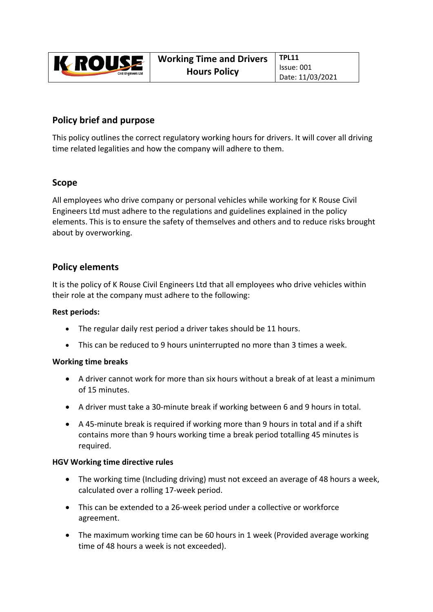

# **Policy brief and purpose**

This policy outlines the correct regulatory working hours for drivers. It will cover all driving time related legalities and how the company will adhere to them.

### **Scope**

All employees who drive company or personal vehicles while working for K Rouse Civil Engineers Ltd must adhere to the regulations and guidelines explained in the policy elements. This is to ensure the safety of themselves and others and to reduce risks brought about by overworking.

## **Policy elements**

It is the policy of K Rouse Civil Engineers Ltd that all employees who drive vehicles within their role at the company must adhere to the following:

#### **Rest periods:**

- The regular daily rest period a driver takes should be 11 hours.
- This can be reduced to 9 hours uninterrupted no more than 3 times a week.

#### **Working time breaks**

- A driver cannot work for more than six hours without a break of at least a minimum of 15 minutes.
- A driver must take a 30-minute break if working between 6 and 9 hours in total.
- A 45‐minute break is required if working more than 9 hours in total and if a shift contains more than 9 hours working time a break period totalling 45 minutes is required.

#### **HGV Working time directive rules**

- The working time (Including driving) must not exceed an average of 48 hours a week, calculated over a rolling 17‐week period.
- This can be extended to a 26‐week period under a collective or workforce agreement.
- The maximum working time can be 60 hours in 1 week (Provided average working time of 48 hours a week is not exceeded).